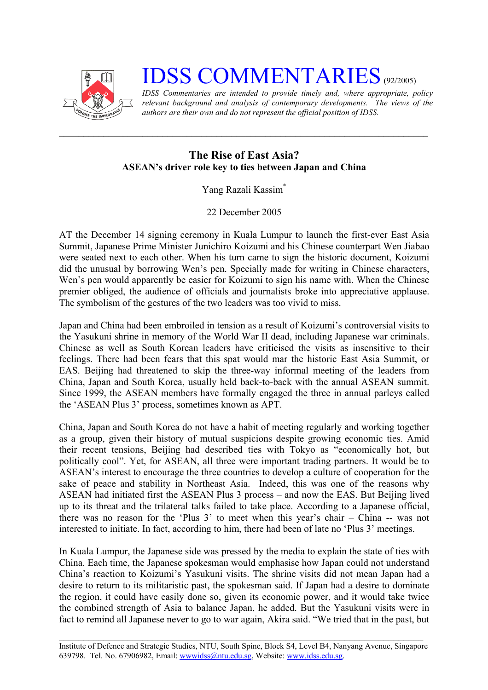

## **IDSS COMMENTARIES** (92/2005)

*IDSS Commentaries are intended to provide timely and, where appropriate, policy relevant background and analysis of contemporary developments. The views of the authors are their own and do not represent the official position of IDSS.* 

## **The Rise of East Asia? ASEAN's driver role key to ties between Japan and China**

## Yang Razali Kassi[m\\*](#page-2-0)

22 December 2005

AT the December 14 signing ceremony in Kuala Lumpur to launch the first-ever East Asia Summit, Japanese Prime Minister Junichiro Koizumi and his Chinese counterpart Wen Jiabao were seated next to each other. When his turn came to sign the historic document, Koizumi did the unusual by borrowing Wen's pen. Specially made for writing in Chinese characters, Wen's pen would apparently be easier for Koizumi to sign his name with. When the Chinese premier obliged, the audience of officials and journalists broke into appreciative applause. The symbolism of the gestures of the two leaders was too vivid to miss.

Japan and China had been embroiled in tension as a result of Koizumi's controversial visits to the Yasukuni shrine in memory of the World War II dead, including Japanese war criminals. Chinese as well as South Korean leaders have criticised the visits as insensitive to their feelings. There had been fears that this spat would mar the historic East Asia Summit, or EAS. Beijing had threatened to skip the three-way informal meeting of the leaders from China, Japan and South Korea, usually held back-to-back with the annual ASEAN summit. Since 1999, the ASEAN members have formally engaged the three in annual parleys called the 'ASEAN Plus 3' process, sometimes known as APT.

China, Japan and South Korea do not have a habit of meeting regularly and working together as a group, given their history of mutual suspicions despite growing economic ties. Amid their recent tensions, Beijing had described ties with Tokyo as "economically hot, but politically cool". Yet, for ASEAN, all three were important trading partners. It would be to ASEAN's interest to encourage the three countries to develop a culture of cooperation for the sake of peace and stability in Northeast Asia. Indeed, this was one of the reasons why ASEAN had initiated first the ASEAN Plus 3 process – and now the EAS. But Beijing lived up to its threat and the trilateral talks failed to take place. According to a Japanese official, there was no reason for the 'Plus 3' to meet when this year's chair – China -- was not interested to initiate. In fact, according to him, there had been of late no 'Plus 3' meetings.

In Kuala Lumpur, the Japanese side was pressed by the media to explain the state of ties with China. Each time, the Japanese spokesman would emphasise how Japan could not understand China's reaction to Koizumi's Yasukuni visits. The shrine visits did not mean Japan had a desire to return to its militaristic past, the spokesman said. If Japan had a desire to dominate the region, it could have easily done so, given its economic power, and it would take twice the combined strength of Asia to balance Japan, he added. But the Yasukuni visits were in fact to remind all Japanese never to go to war again, Akira said. "We tried that in the past, but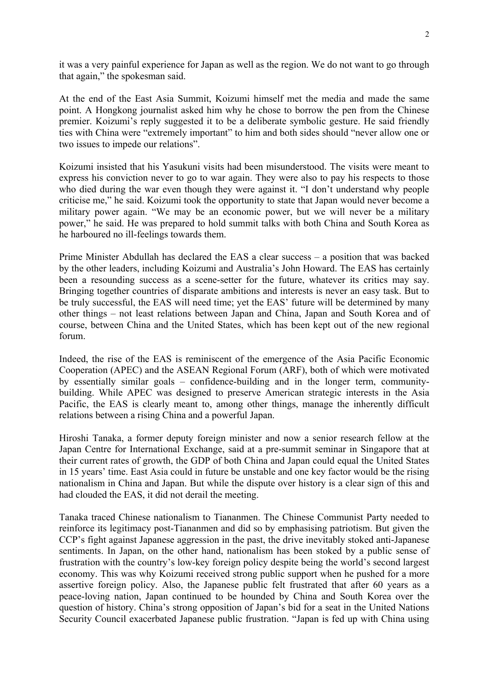it was a very painful experience for Japan as well as the region. We do not want to go through that again," the spokesman said.

At the end of the East Asia Summit, Koizumi himself met the media and made the same point. A Hongkong journalist asked him why he chose to borrow the pen from the Chinese premier. Koizumi's reply suggested it to be a deliberate symbolic gesture. He said friendly ties with China were "extremely important" to him and both sides should "never allow one or two issues to impede our relations".

Koizumi insisted that his Yasukuni visits had been misunderstood. The visits were meant to express his conviction never to go to war again. They were also to pay his respects to those who died during the war even though they were against it. "I don't understand why people criticise me," he said. Koizumi took the opportunity to state that Japan would never become a military power again. "We may be an economic power, but we will never be a military power," he said. He was prepared to hold summit talks with both China and South Korea as he harboured no ill-feelings towards them.

Prime Minister Abdullah has declared the EAS a clear success – a position that was backed by the other leaders, including Koizumi and Australia's John Howard. The EAS has certainly been a resounding success as a scene-setter for the future, whatever its critics may say. Bringing together countries of disparate ambitions and interests is never an easy task. But to be truly successful, the EAS will need time; yet the EAS' future will be determined by many other things – not least relations between Japan and China, Japan and South Korea and of course, between China and the United States, which has been kept out of the new regional forum.

Indeed, the rise of the EAS is reminiscent of the emergence of the Asia Pacific Economic Cooperation (APEC) and the ASEAN Regional Forum (ARF), both of which were motivated by essentially similar goals – confidence-building and in the longer term, communitybuilding. While APEC was designed to preserve American strategic interests in the Asia Pacific, the EAS is clearly meant to, among other things, manage the inherently difficult relations between a rising China and a powerful Japan.

Hiroshi Tanaka, a former deputy foreign minister and now a senior research fellow at the Japan Centre for International Exchange, said at a pre-summit seminar in Singapore that at their current rates of growth, the GDP of both China and Japan could equal the United States in 15 years' time. East Asia could in future be unstable and one key factor would be the rising nationalism in China and Japan. But while the dispute over history is a clear sign of this and had clouded the EAS, it did not derail the meeting.

Tanaka traced Chinese nationalism to Tiananmen. The Chinese Communist Party needed to reinforce its legitimacy post-Tiananmen and did so by emphasising patriotism. But given the CCP's fight against Japanese aggression in the past, the drive inevitably stoked anti-Japanese sentiments. In Japan, on the other hand, nationalism has been stoked by a public sense of frustration with the country's low-key foreign policy despite being the world's second largest economy. This was why Koizumi received strong public support when he pushed for a more assertive foreign policy. Also, the Japanese public felt frustrated that after 60 years as a peace-loving nation, Japan continued to be hounded by China and South Korea over the question of history. China's strong opposition of Japan's bid for a seat in the United Nations Security Council exacerbated Japanese public frustration. "Japan is fed up with China using